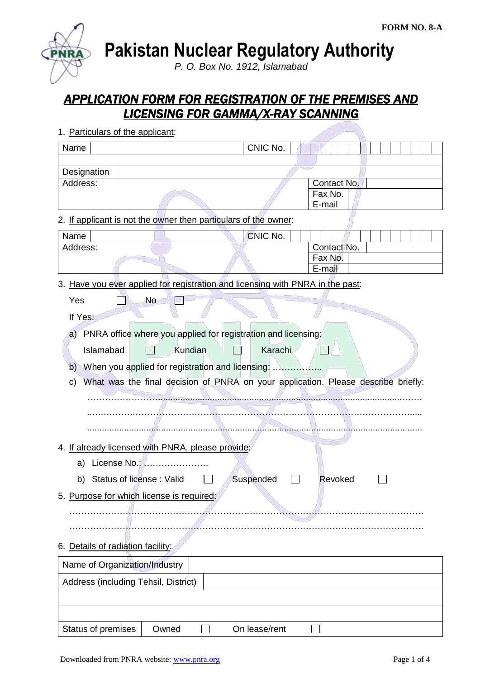**Pakistan Nuclear Regulatory Authority**

*P. O. Box No. 1912, Islamabad*

# *APPLICATION FORM FOR REGISTRATION OF THE PREMISES AND LICENSING FOR GAMMA/X-RAY SCANNING*

| Name                                                                                    | CNIC No.      |                                  |
|-----------------------------------------------------------------------------------------|---------------|----------------------------------|
|                                                                                         |               |                                  |
| Designation<br>Address:                                                                 |               | Contact No.<br>Fax No.<br>E-mail |
| 2. If applicant is not the owner then particulars of the owner:                         |               |                                  |
| Name                                                                                    | CNIC No.      |                                  |
| Address:                                                                                |               | Contact No.<br>Fax No.<br>E-mail |
| 3. Have you ever applied for registration and licensing with PNRA in the past:          |               |                                  |
| Yes<br>No                                                                               |               |                                  |
| If Yes:                                                                                 |               |                                  |
| a) PNRA office where you applied for registration and licensing:                        |               |                                  |
| Kundian<br>Islamabad                                                                    | Karachi       |                                  |
| When you applied for registration and licensing:<br>b)                                  |               |                                  |
| What was the final decision of PNRA on your application. Please describe briefly:<br>C) |               |                                  |
|                                                                                         |               |                                  |
|                                                                                         |               |                                  |
|                                                                                         |               |                                  |
| 4. If already licensed with PNRA, please provide:                                       |               |                                  |
| License No.:<br>a)                                                                      |               |                                  |
| Status of license: Valid<br>b)                                                          | Suspended     | Revoked                          |
| 5. Purpose for which license is required:                                               |               |                                  |
|                                                                                         |               |                                  |
|                                                                                         |               |                                  |
| 6. Details of radiation facility:                                                       |               |                                  |
| Name of Organization/Industry                                                           |               |                                  |
| Address (including Tehsil, District)                                                    |               |                                  |
|                                                                                         |               |                                  |
|                                                                                         |               |                                  |
| Status of premises<br>Owned                                                             | On lease/rent |                                  |

1. Particulars of the applicant: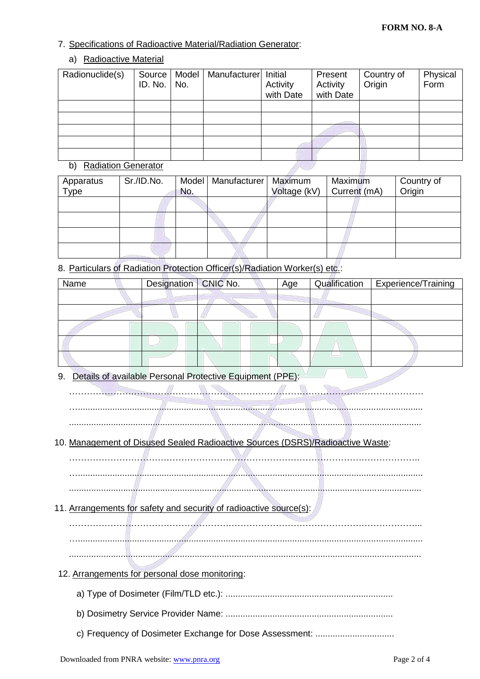### 7. Specifications of Radioactive Material/Radiation Generator:

## a) Radioactive Material

| Radionuclide(s) | Source  <br>ID. No. | Model<br>No. | Manufacturer Initial | Activity<br>with Date | Present<br>Activity<br>with Date | Country of<br>Origin | Physical<br>Form |
|-----------------|---------------------|--------------|----------------------|-----------------------|----------------------------------|----------------------|------------------|
|                 |                     |              |                      |                       |                                  |                      |                  |
|                 |                     |              |                      |                       |                                  |                      |                  |
|                 |                     |              |                      |                       |                                  |                      |                  |
|                 |                     |              |                      |                       |                                  |                      |                  |
|                 |                     |              |                      |                       |                                  |                      |                  |

### b) Radiation Generator

| Apparatus<br>Type | Sr./ID.No. | Model<br>No. | Manufacturer | Maximum<br>Voltage (kV) | Maximum<br>Current (mA) | Country of<br>Origin |
|-------------------|------------|--------------|--------------|-------------------------|-------------------------|----------------------|
|                   |            |              |              |                         |                         |                      |
|                   |            |              |              |                         |                         |                      |
|                   |            |              |              |                         |                         |                      |
|                   |            |              |              |                         |                         |                      |

8. Particulars of Radiation Protection Officer(s)/Radiation Worker(s) etc.:

| Name | Designation   CNIC No. | Age | Qualification | Experience/Training |
|------|------------------------|-----|---------------|---------------------|
|      |                        |     |               |                     |
|      |                        |     |               |                     |
|      |                        |     |               |                     |
|      |                        |     |               |                     |
|      |                        |     |               |                     |

9. Details of available Personal Protective Equipment (PPE):

………………………………………………………………………………………………………… …............................................................................................................................................

...............................................................................................................................................

# 10. Management of Disused Sealed Radioactive Sources (DSRS)/Radioactive Waste:

……………………………………………………………………………………………………….. …............................................................................................................................................

...............................................................................................................................................

- 11. Arrangements for safety and security of radioactive source(s):
	- ………………………………………………………………………………………………………... …............................................................................................................................................

...............................................................................................................................................

- 12. Arrangements for personal dose monitoring:
	- a) Type of Dosimeter (Film/TLD etc.): ....................................................................
	- b) Dosimetry Service Provider Name: ....................................................................
	- c) Frequency of Dosimeter Exchange for Dose Assessment: ................................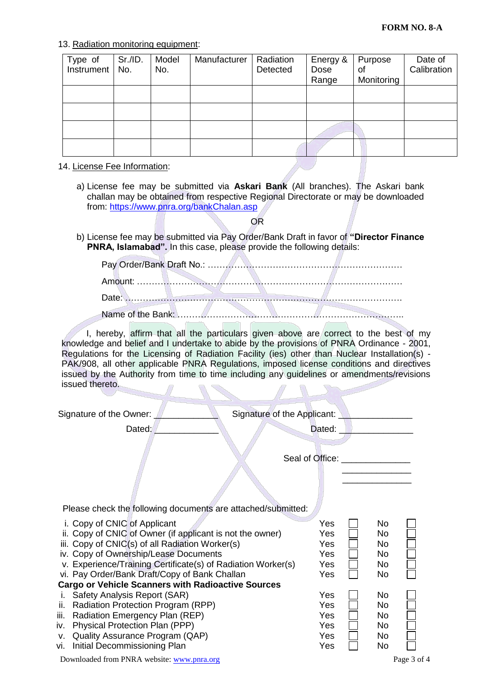#### 13. Radiation monitoring equipment:

| Type of<br>Instrument | Sr./ID.<br>No. | Model<br>No. | Manufacturer | Radiation<br>Detected | Energy &<br>Dose<br>Range | Purpose<br>οf<br>Monitoring | Date of<br>Calibration |
|-----------------------|----------------|--------------|--------------|-----------------------|---------------------------|-----------------------------|------------------------|
|                       |                |              |              |                       |                           |                             |                        |
|                       |                |              |              |                       |                           |                             |                        |
|                       |                |              |              |                       |                           |                             |                        |
|                       |                |              |              |                       |                           |                             |                        |

#### 14. License Fee Information:

a) License fee may be submitted via **Askari Bank** (All branches). The Askari bank challan may be obtained from respective Regional Directorate or may be downloaded from:<https://www.pnra.org/bankChalan.asp>

OR

b) License fee may be submitted via Pay Order/Bank Draft in favor of **"Director Finance PNRA, Islamabad".** In this case, please provide the following details:

I, hereby, affirm that all the particulars given above are correct to the best of my knowledge and belief and I undertake to abide by the provisions of PNRA Ordinance - 2001, Regulations for the Licensing of Radiation Facility (ies) other than Nuclear Installation(s) - PAK/908, all other applicable PNRA Regulations, imposed license conditions and directives issued by the Authority from time to time including any guidelines or amendments/revisions issued thereto.

| Signature of the Owner:                                                                                                                                                                                                                                                                                                                                             | Signature of the Applicant: <u>Community Community Signature</u> |                                              |  |
|---------------------------------------------------------------------------------------------------------------------------------------------------------------------------------------------------------------------------------------------------------------------------------------------------------------------------------------------------------------------|------------------------------------------------------------------|----------------------------------------------|--|
| Dated:                                                                                                                                                                                                                                                                                                                                                              | Dated:                                                           |                                              |  |
|                                                                                                                                                                                                                                                                                                                                                                     | Seal of Office: <u>contained</u>                                 |                                              |  |
| Please check the following documents are attached/submitted:                                                                                                                                                                                                                                                                                                        |                                                                  |                                              |  |
| i. Copy of CNIC of Applicant<br>ii. Copy of CNIC of Owner (if applicant is not the owner)<br>iii. Copy of CNIC(s) of all Radiation Worker(s)<br>iv. Copy of Ownership/Lease Documents<br>v. Experience/Training Certificate(s) of Radiation Worker(s)<br>vi. Pay Order/Bank Draft/Copy of Bank Challan<br><b>Cargo or Vehicle Scanners with Radioactive Sources</b> | Yes<br>Yes<br>Yes<br><b>Yes</b><br>Yes<br>Yes                    | <b>No</b><br>No.<br>No.<br>No.<br>No.<br>No. |  |
| Safety Analysis Report (SAR)<br>i.                                                                                                                                                                                                                                                                                                                                  | Yes                                                              | No.                                          |  |
| Radiation Protection Program (RPP)<br>ii.<br>iii. Radiation Emergency Plan (REP)<br>iv. Physical Protection Plan (PPP)<br>v. Quality Assurance Program (QAP)<br>vi. Initial Decommissioning Plan                                                                                                                                                                    | Yes<br>Yes<br>Yes<br><b>Yes</b><br>Yes                           | No.<br>No.<br>No.<br>No<br>No                |  |
|                                                                                                                                                                                                                                                                                                                                                                     |                                                                  |                                              |  |

Downloaded from PNRA website: [www.pnra.org](http://www.pnra.org/) Page 3 of 4